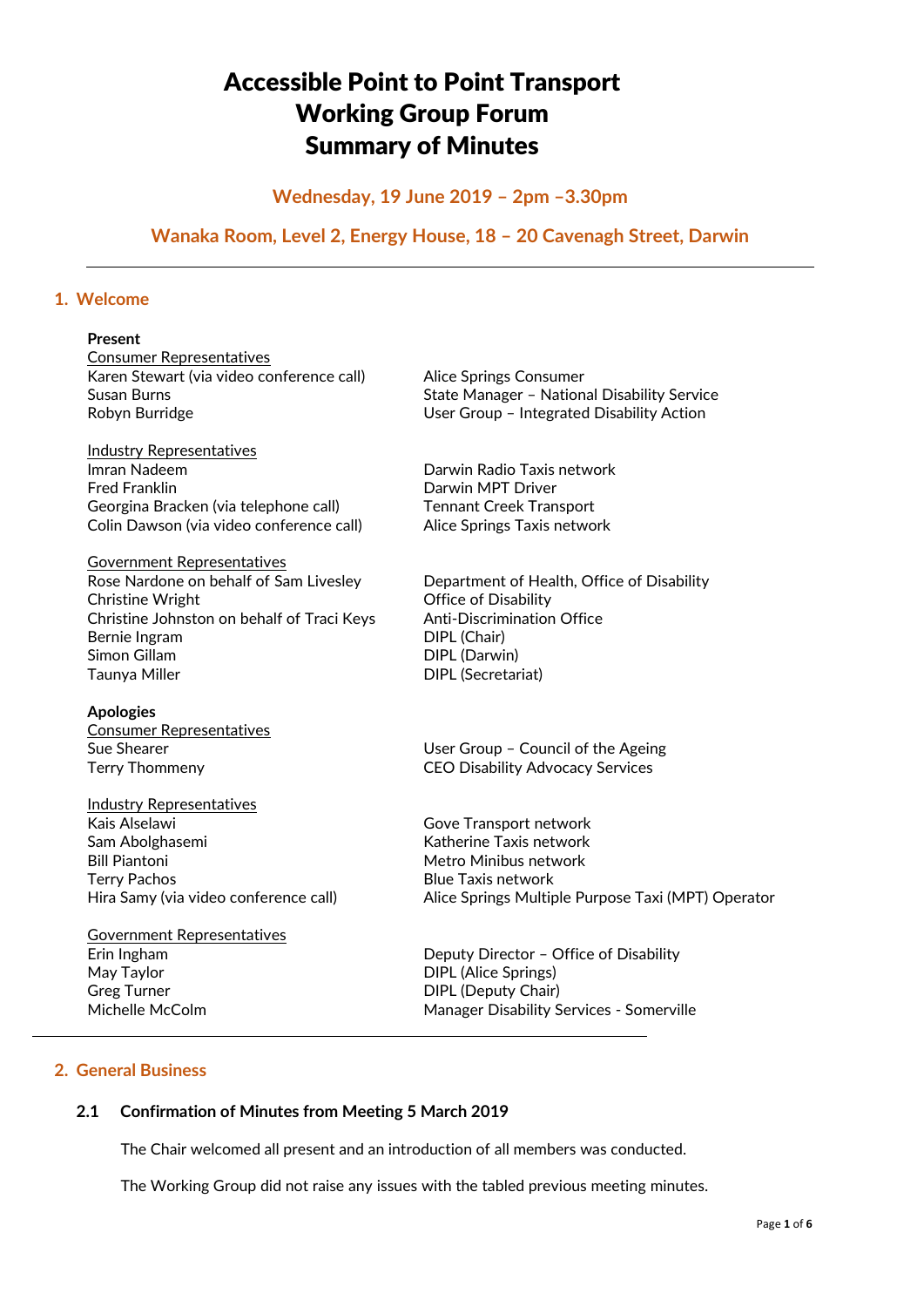# Accessible Point to Point Transport Working Group Forum Summary of Minutes

## **Wednesday, 19 June 2019 – 2pm –3.30pm**

## **Wanaka Room, Level 2, Energy House, 18 – 20 Cavenagh Street, Darwin**

## **1. Welcome**

#### **Present**

Consumer Representatives Karen Stewart (via video conference call) Alice Springs Consumer

**Industry Representatives**<br>Imran Nadeem Fred Franklin **Darwin MPT Driver** Georgina Bracken (via telephone call) Tennant Creek Transport Colin Dawson (via video conference call) Alice Springs Taxis network

Government Representatives Rose Nardone on behalf of Sam Livesley Department of Health, Office of Disability Christine Wright **Christine Wright** Office of Disability Christine Johnston on behalf of Traci Keys Anti-Discrimination Office Bernie Ingram DIPL (Chair) Simon Gillam DIPL (Darwin) Taunya Miller **DIPL** (Secretariat)

**Apologies** Consumer Representatives

Industry Representatives Kais Alselawi **Gove Transport network** Sam Abolghasemi **Katherine Taxis network** Bill Piantoni Metro Minibus network Terry Pachos **Blue Taxis network** 

Government Representatives May Taylor **DIPL** (Alice Springs) Greg Turner **DIPL** (Deputy Chair)

Susan Burns **Susan Burns** Susan Burns **State Manager - National Disability Service** Robyn Burridge The User Group – Integrated Disability Action

Darwin Radio Taxis network

Sue Shearer **In the User Group – Council of the Ageing** Terry Thommeny CEO Disability Advocacy Services

Hira Samy (via video conference call) Alice Springs Multiple Purpose Taxi (MPT) Operator

Erin Ingham Deputy Director – Office of Disability Michelle McColm Manager Disability Services - Somerville

## **2. General Business**

## **2.1 Confirmation of Minutes from Meeting 5 March 2019**

The Chair welcomed all present and an introduction of all members was conducted.

The Working Group did not raise any issues with the tabled previous meeting minutes.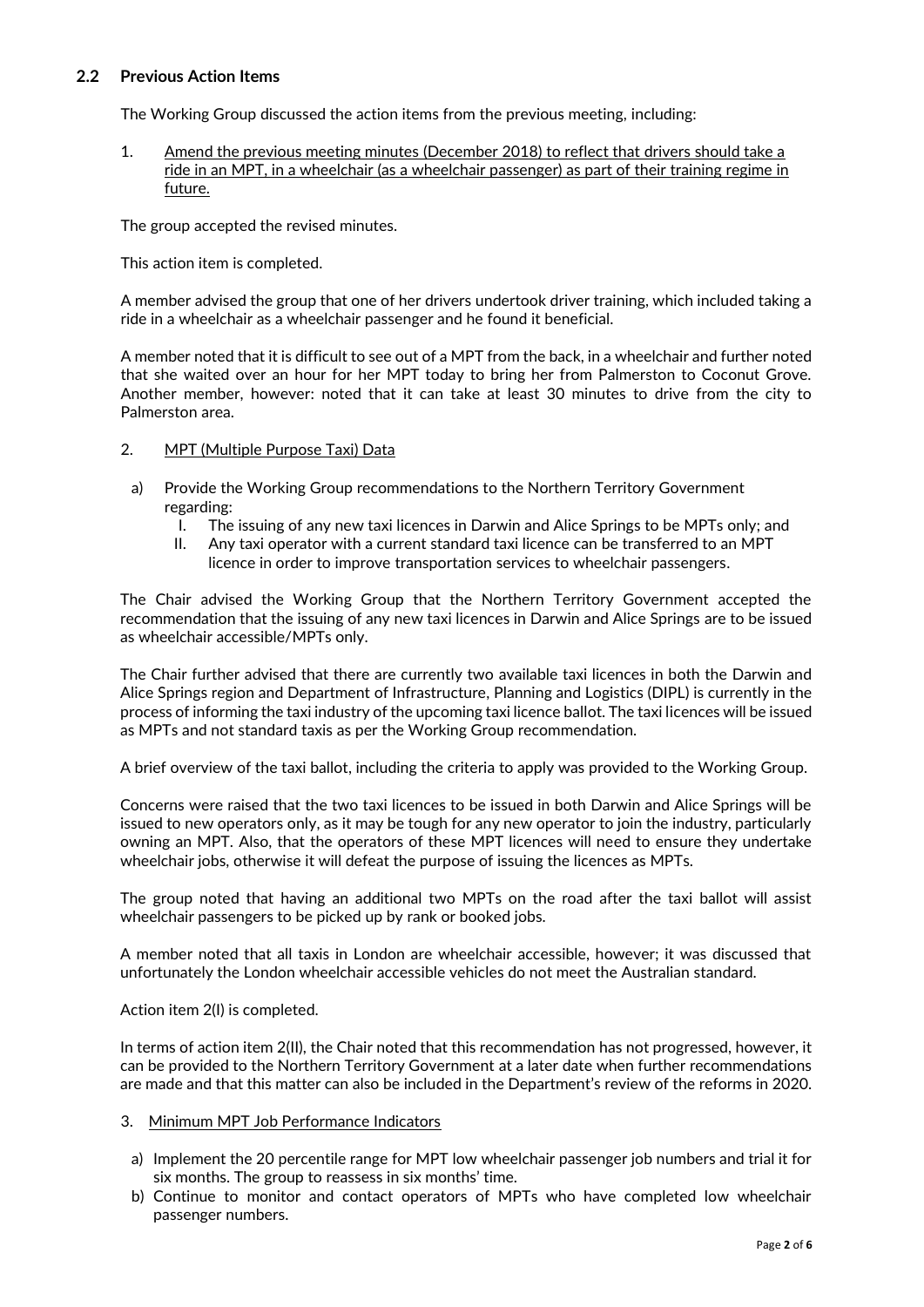## **2.2 Previous Action Items**

The Working Group discussed the action items from the previous meeting, including:

1. Amend the previous meeting minutes (December 2018) to reflect that drivers should take a ride in an MPT, in a wheelchair (as a wheelchair passenger) as part of their training regime in future.

The group accepted the revised minutes.

This action item is completed.

A member advised the group that one of her drivers undertook driver training, which included taking a ride in a wheelchair as a wheelchair passenger and he found it beneficial.

A member noted that it is difficult to see out of a MPT from the back, in a wheelchair and further noted that she waited over an hour for her MPT today to bring her from Palmerston to Coconut Grove. Another member, however: noted that it can take at least 30 minutes to drive from the city to Palmerston area.

## 2. MPT (Multiple Purpose Taxi) Data

- a) Provide the Working Group recommendations to the Northern Territory Government regarding:
	- I. The issuing of any new taxi licences in Darwin and Alice Springs to be MPTs only; and
	- II. Any taxi operator with a current standard taxi licence can be transferred to an MPT licence in order to improve transportation services to wheelchair passengers.

The Chair advised the Working Group that the Northern Territory Government accepted the recommendation that the issuing of any new taxi licences in Darwin and Alice Springs are to be issued as wheelchair accessible/MPTs only.

The Chair further advised that there are currently two available taxi licences in both the Darwin and Alice Springs region and Department of Infrastructure, Planning and Logistics (DIPL) is currently in the process of informing the taxi industry of the upcoming taxi licence ballot. The taxi licences will be issued as MPTs and not standard taxis as per the Working Group recommendation.

A brief overview of the taxi ballot, including the criteria to apply was provided to the Working Group.

Concerns were raised that the two taxi licences to be issued in both Darwin and Alice Springs will be issued to new operators only, as it may be tough for any new operator to join the industry, particularly owning an MPT. Also, that the operators of these MPT licences will need to ensure they undertake wheelchair jobs, otherwise it will defeat the purpose of issuing the licences as MPTs.

The group noted that having an additional two MPTs on the road after the taxi ballot will assist wheelchair passengers to be picked up by rank or booked jobs.

A member noted that all taxis in London are wheelchair accessible, however; it was discussed that unfortunately the London wheelchair accessible vehicles do not meet the Australian standard.

Action item 2(I) is completed.

In terms of action item 2(II), the Chair noted that this recommendation has not progressed, however, it can be provided to the Northern Territory Government at a later date when further recommendations are made and that this matter can also be included in the Department's review of the reforms in 2020.

#### 3. Minimum MPT Job Performance Indicators

- a) Implement the 20 percentile range for MPT low wheelchair passenger job numbers and trial it for six months. The group to reassess in six months' time.
- b) Continue to monitor and contact operators of MPTs who have completed low wheelchair passenger numbers.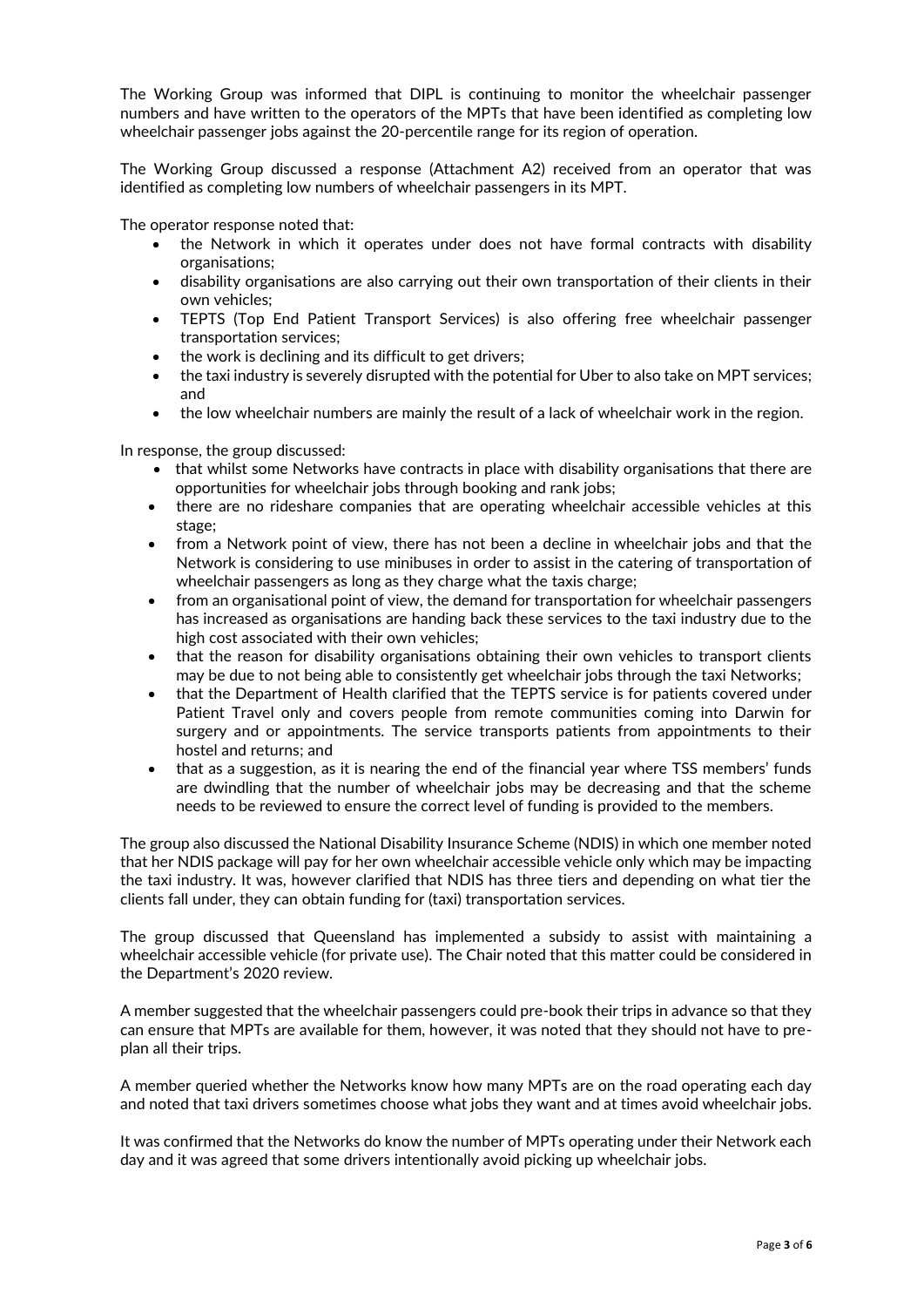The Working Group was informed that DIPL is continuing to monitor the wheelchair passenger numbers and have written to the operators of the MPTs that have been identified as completing low wheelchair passenger jobs against the 20-percentile range for its region of operation.

The Working Group discussed a response (Attachment A2) received from an operator that was identified as completing low numbers of wheelchair passengers in its MPT.

The operator response noted that:

- the Network in which it operates under does not have formal contracts with disability organisations;
- disability organisations are also carrying out their own transportation of their clients in their own vehicles;
- TEPTS (Top End Patient Transport Services) is also offering free wheelchair passenger transportation services;
- the work is declining and its difficult to get drivers;
- the taxi industry is severely disrupted with the potential for Uber to also take on MPT services; and
- the low wheelchair numbers are mainly the result of a lack of wheelchair work in the region.

In response, the group discussed:

- that whilst some Networks have contracts in place with disability organisations that there are opportunities for wheelchair jobs through booking and rank jobs;
- there are no rideshare companies that are operating wheelchair accessible vehicles at this stage;
- from a Network point of view, there has not been a decline in wheelchair jobs and that the Network is considering to use minibuses in order to assist in the catering of transportation of wheelchair passengers as long as they charge what the taxis charge;
- from an organisational point of view, the demand for transportation for wheelchair passengers has increased as organisations are handing back these services to the taxi industry due to the high cost associated with their own vehicles;
- that the reason for disability organisations obtaining their own vehicles to transport clients may be due to not being able to consistently get wheelchair jobs through the taxi Networks;
- that the Department of Health clarified that the TEPTS service is for patients covered under Patient Travel only and covers people from remote communities coming into Darwin for surgery and or appointments. The service transports patients from appointments to their hostel and returns; and
- that as a suggestion, as it is nearing the end of the financial year where TSS members' funds are dwindling that the number of wheelchair jobs may be decreasing and that the scheme needs to be reviewed to ensure the correct level of funding is provided to the members.

The group also discussed the National Disability Insurance Scheme (NDIS) in which one member noted that her NDIS package will pay for her own wheelchair accessible vehicle only which may be impacting the taxi industry. It was, however clarified that NDIS has three tiers and depending on what tier the clients fall under, they can obtain funding for (taxi) transportation services.

The group discussed that Queensland has implemented a subsidy to assist with maintaining a wheelchair accessible vehicle (for private use). The Chair noted that this matter could be considered in the Department's 2020 review.

A member suggested that the wheelchair passengers could pre-book their trips in advance so that they can ensure that MPTs are available for them, however, it was noted that they should not have to preplan all their trips.

A member queried whether the Networks know how many MPTs are on the road operating each day and noted that taxi drivers sometimes choose what jobs they want and at times avoid wheelchair jobs.

It was confirmed that the Networks do know the number of MPTs operating under their Network each day and it was agreed that some drivers intentionally avoid picking up wheelchair jobs.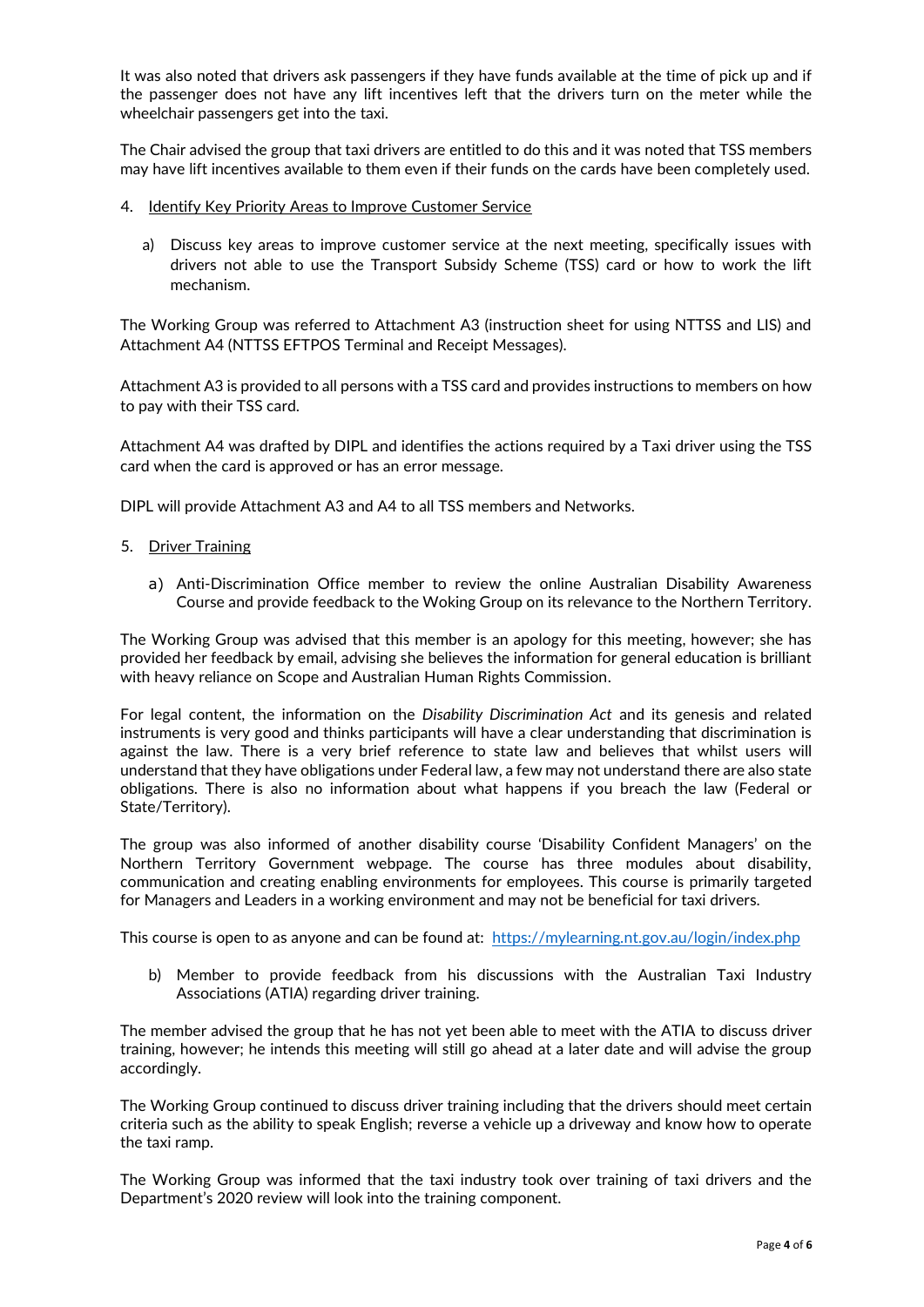It was also noted that drivers ask passengers if they have funds available at the time of pick up and if the passenger does not have any lift incentives left that the drivers turn on the meter while the wheelchair passengers get into the taxi.

The Chair advised the group that taxi drivers are entitled to do this and it was noted that TSS members may have lift incentives available to them even if their funds on the cards have been completely used.

- 4. Identify Key Priority Areas to Improve Customer Service
	- a) Discuss key areas to improve customer service at the next meeting, specifically issues with drivers not able to use the Transport Subsidy Scheme (TSS) card or how to work the lift mechanism.

The Working Group was referred to Attachment A3 (instruction sheet for using NTTSS and LIS) and Attachment A4 (NTTSS EFTPOS Terminal and Receipt Messages).

Attachment A3 is provided to all persons with a TSS card and provides instructions to members on how to pay with their TSS card.

Attachment A4 was drafted by DIPL and identifies the actions required by a Taxi driver using the TSS card when the card is approved or has an error message.

DIPL will provide Attachment A3 and A4 to all TSS members and Networks.

- 5. Driver Training
	- a) Anti-Discrimination Office member to review the online Australian Disability Awareness Course and provide feedback to the Woking Group on its relevance to the Northern Territory.

The Working Group was advised that this member is an apology for this meeting, however; she has provided her feedback by email, advising she believes the information for general education is brilliant with heavy reliance on Scope and Australian Human Rights Commission.

For legal content, the information on the *Disability Discrimination Act* and its genesis and related instruments is very good and thinks participants will have a clear understanding that discrimination is against the law. There is a very brief reference to state law and believes that whilst users will understand that they have obligations under Federal law, a few may not understand there are also state obligations. There is also no information about what happens if you breach the law (Federal or State/Territory).

The group was also informed of another disability course 'Disability Confident Managers' on the Northern Territory Government webpage. The course has three modules about disability, communication and creating enabling environments for employees. This course is primarily targeted for Managers and Leaders in a working environment and may not be beneficial for taxi drivers.

This course is open to as anyone and can be found at: <https://mylearning.nt.gov.au/login/index.php>

b) Member to provide feedback from his discussions with the Australian Taxi Industry Associations (ATIA) regarding driver training.

The member advised the group that he has not yet been able to meet with the ATIA to discuss driver training, however; he intends this meeting will still go ahead at a later date and will advise the group accordingly.

The Working Group continued to discuss driver training including that the drivers should meet certain criteria such as the ability to speak English; reverse a vehicle up a driveway and know how to operate the taxi ramp.

The Working Group was informed that the taxi industry took over training of taxi drivers and the Department's 2020 review will look into the training component.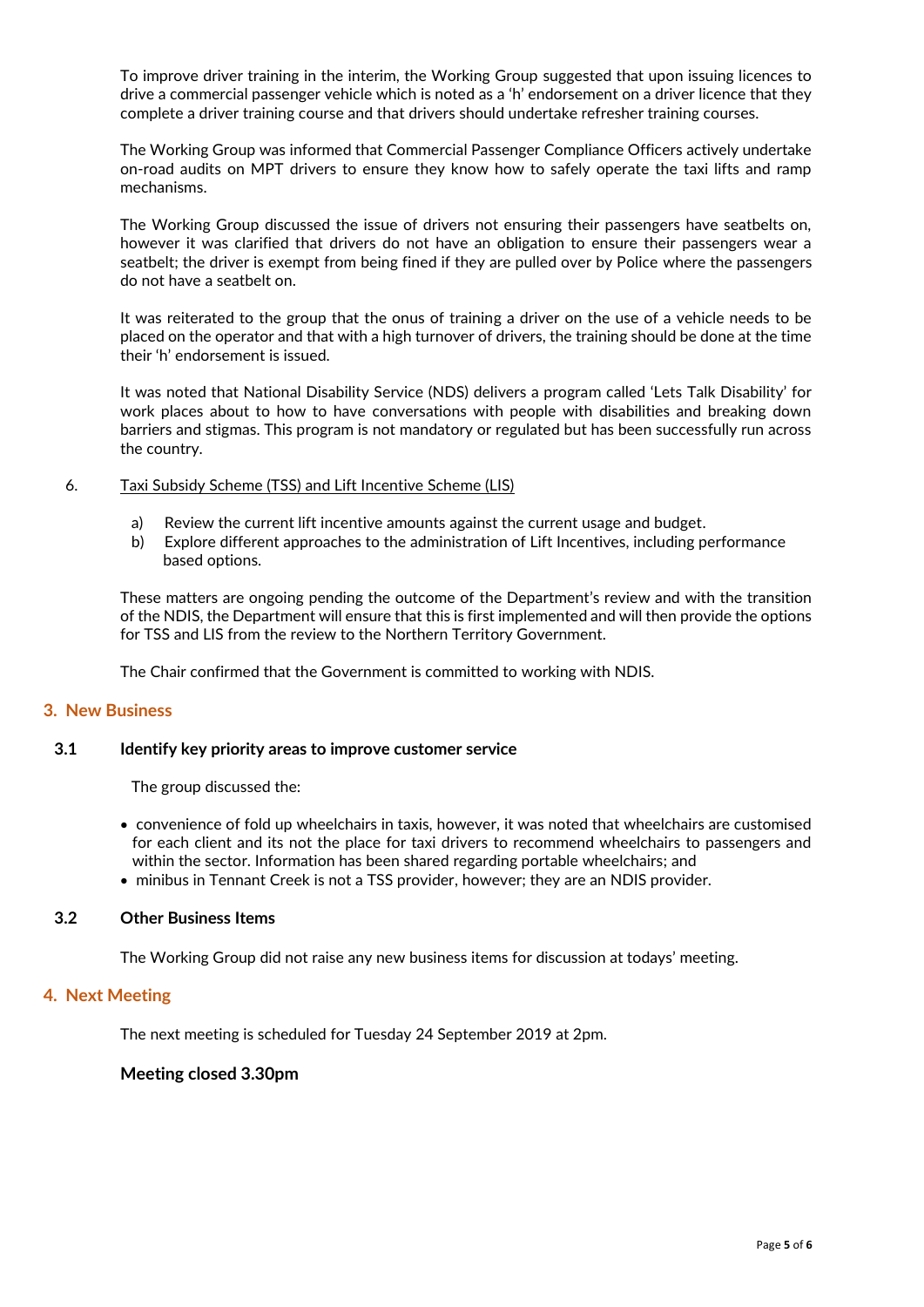To improve driver training in the interim, the Working Group suggested that upon issuing licences to drive a commercial passenger vehicle which is noted as a 'h' endorsement on a driver licence that they complete a driver training course and that drivers should undertake refresher training courses.

The Working Group was informed that Commercial Passenger Compliance Officers actively undertake on-road audits on MPT drivers to ensure they know how to safely operate the taxi lifts and ramp mechanisms.

The Working Group discussed the issue of drivers not ensuring their passengers have seatbelts on, however it was clarified that drivers do not have an obligation to ensure their passengers wear a seatbelt; the driver is exempt from being fined if they are pulled over by Police where the passengers do not have a seatbelt on.

It was reiterated to the group that the onus of training a driver on the use of a vehicle needs to be placed on the operator and that with a high turnover of drivers, the training should be done at the time their 'h' endorsement is issued.

It was noted that National Disability Service (NDS) delivers a program called 'Lets Talk Disability' for work places about to how to have conversations with people with disabilities and breaking down barriers and stigmas. This program is not mandatory or regulated but has been successfully run across the country.

#### 6. Taxi Subsidy Scheme (TSS) and Lift Incentive Scheme (LIS)

- a) Review the current lift incentive amounts against the current usage and budget.
- b) Explore different approaches to the administration of Lift Incentives, including performance based options.

These matters are ongoing pending the outcome of the Department's review and with the transition of the NDIS, the Department will ensure that this is first implemented and will then provide the options for TSS and LIS from the review to the Northern Territory Government.

The Chair confirmed that the Government is committed to working with NDIS.

#### **3. New Business**

## **3.1 Identify key priority areas to improve customer service**

The group discussed the:

- convenience of fold up wheelchairs in taxis, however, it was noted that wheelchairs are customised for each client and its not the place for taxi drivers to recommend wheelchairs to passengers and within the sector. Information has been shared regarding portable wheelchairs; and
- minibus in Tennant Creek is not a TSS provider, however; they are an NDIS provider.

#### **3.2 Other Business Items**

The Working Group did not raise any new business items for discussion at todays' meeting.

#### **4. Next Meeting**

The next meeting is scheduled for Tuesday 24 September 2019 at 2pm.

#### **Meeting closed 3.30pm**